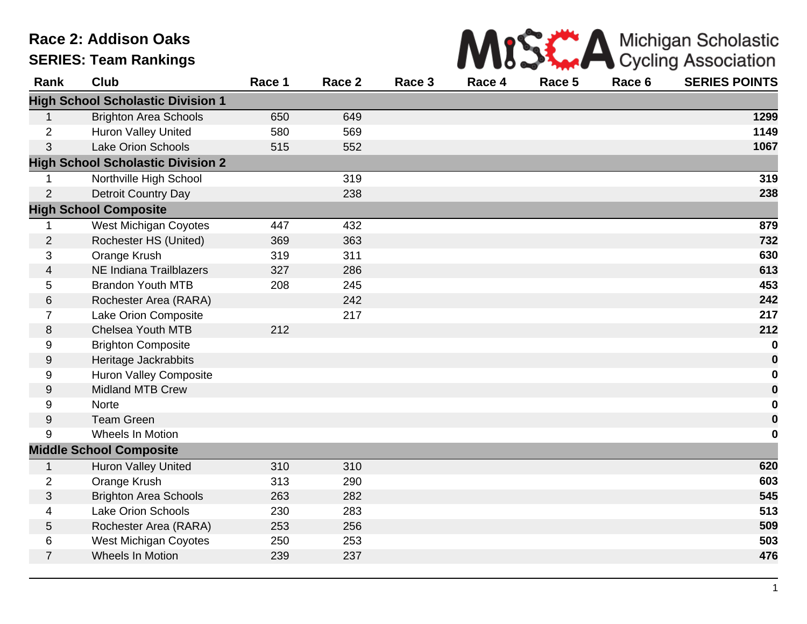## **Race 2: Addison Oaks SERIES: Team Rankings**



| Rank             | <b>Club</b>                              | Race 1 | Race 2 | Race 3 | Race 4 | Race 5 | Race 6 | <b>SERIES POINTS</b> |
|------------------|------------------------------------------|--------|--------|--------|--------|--------|--------|----------------------|
|                  | <b>High School Scholastic Division 1</b> |        |        |        |        |        |        |                      |
| 1                | <b>Brighton Area Schools</b>             | 650    | 649    |        |        |        |        | 1299                 |
| $\overline{2}$   | Huron Valley United                      | 580    | 569    |        |        |        |        | 1149                 |
| 3                | <b>Lake Orion Schools</b>                | 515    | 552    |        |        |        |        | 1067                 |
|                  | <b>High School Scholastic Division 2</b> |        |        |        |        |        |        |                      |
|                  | Northville High School                   |        | 319    |        |        |        |        | 319                  |
| $\overline{2}$   | <b>Detroit Country Day</b>               |        | 238    |        |        |        |        | 238                  |
|                  | <b>High School Composite</b>             |        |        |        |        |        |        |                      |
| 1                | <b>West Michigan Coyotes</b>             | 447    | 432    |        |        |        |        | 879                  |
| $\overline{2}$   | Rochester HS (United)                    | 369    | 363    |        |        |        |        | 732                  |
| 3                | Orange Krush                             | 319    | 311    |        |        |        |        | 630                  |
| 4                | NE Indiana Trailblazers                  | 327    | 286    |        |        |        |        | 613                  |
| 5                | <b>Brandon Youth MTB</b>                 | 208    | 245    |        |        |        |        | 453                  |
| 6                | Rochester Area (RARA)                    |        | 242    |        |        |        |        | 242                  |
| $\overline{7}$   | Lake Orion Composite                     |        | 217    |        |        |        |        | 217                  |
| 8                | Chelsea Youth MTB                        | 212    |        |        |        |        |        | 212                  |
| 9                | <b>Brighton Composite</b>                |        |        |        |        |        |        | $\bf{0}$             |
| $\boldsymbol{9}$ | Heritage Jackrabbits                     |        |        |        |        |        |        | $\bf{0}$             |
| 9                | <b>Huron Valley Composite</b>            |        |        |        |        |        |        | $\mathbf 0$          |
| $9\,$            | <b>Midland MTB Crew</b>                  |        |        |        |        |        |        | $\mathbf 0$          |
| 9                | <b>Norte</b>                             |        |        |        |        |        |        | 0                    |
| 9                | <b>Team Green</b>                        |        |        |        |        |        |        | $\boldsymbol{0}$     |
| 9                | Wheels In Motion                         |        |        |        |        |        |        | $\bf{0}$             |
|                  | <b>Middle School Composite</b>           |        |        |        |        |        |        |                      |
| 1                | <b>Huron Valley United</b>               | 310    | 310    |        |        |        |        | 620                  |
| $\overline{2}$   | Orange Krush                             | 313    | 290    |        |        |        |        | 603                  |
| 3                | <b>Brighton Area Schools</b>             | 263    | 282    |        |        |        |        | 545                  |
| 4                | <b>Lake Orion Schools</b>                | 230    | 283    |        |        |        |        | 513                  |
| 5                | Rochester Area (RARA)                    | 253    | 256    |        |        |        |        | 509                  |
| 6                | <b>West Michigan Coyotes</b>             | 250    | 253    |        |        |        |        | 503                  |
| $\overline{7}$   | Wheels In Motion                         | 239    | 237    |        |        |        |        | 476                  |
|                  |                                          |        |        |        |        |        |        |                      |